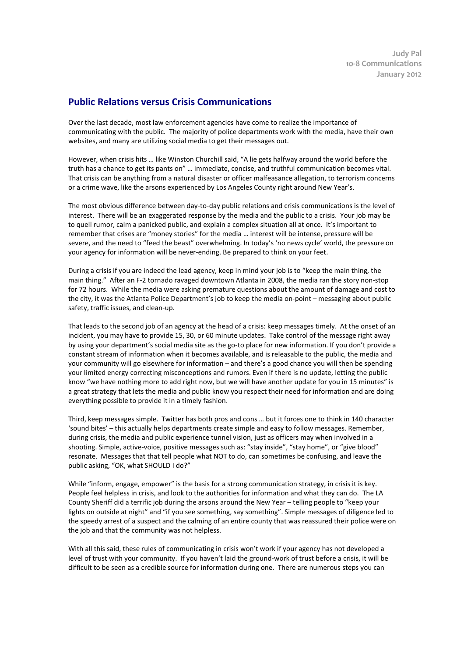## **Public Relations versus Crisis Communications**

Over the last decade, most law enforcement agencies have come to realize the importance of communicating with the public. The majority of police departments work with the media, have their own websites, and many are utilizing social media to get their messages out.

However, when crisis hits … like Winston Churchill said, "A lie gets halfway around the world before the truth has a chance to get its pants on" … immediate, concise, and truthful communication becomes vital. That crisis can be anything from a natural disaster or officer malfeasance allegation, to terrorism concerns or a crime wave, like the arsons experienced by Los Angeles County right around New Year's.

The most obvious difference between day-to-day public relations and crisis communications is the level of interest. There will be an exaggerated response by the media and the public to a crisis. Your job may be to quell rumor, calm a panicked public, and explain a complex situation all at once. It's important to remember that crises are "money stories" for the media … interest will be intense, pressure will be severe, and the need to "feed the beast" overwhelming. In today's 'no news cycle' world, the pressure on your agency for information will be never-ending. Be prepared to think on your feet.

During a crisis if you are indeed the lead agency, keep in mind your job is to "keep the main thing, the main thing." After an F-2 tornado ravaged downtown Atlanta in 2008, the media ran the story non-stop for 72 hours. While the media were asking premature questions about the amount of damage and cost to the city, it was the Atlanta Police Department's job to keep the media on-point – messaging about public safety, traffic issues, and clean-up.

That leads to the second job of an agency at the head of a crisis: keep messages timely. At the onset of an incident, you may have to provide 15, 30, or 60 minute updates. Take control of the message right away by using your department's social media site as the go-to place for new information. If you don't provide a constant stream of information when it becomes available, and is releasable to the public, the media and your community will go elsewhere for information – and there's a good chance you will then be spending your limited energy correcting misconceptions and rumors. Even if there is no update, letting the public know "we have nothing more to add right now, but we will have another update for you in 15 minutes" is a great strategy that lets the media and public know you respect their need for information and are doing everything possible to provide it in a timely fashion.

Third, keep messages simple. Twitter has both pros and cons … but it forces one to think in 140 character 'sound bites' – this actually helps departments create simple and easy to follow messages. Remember, during crisis, the media and public experience tunnel vision, just as officers may when involved in a shooting. Simple, active-voice, positive messages such as: "stay inside", "stay home", or "give blood" resonate. Messages that that tell people what NOT to do, can sometimes be confusing, and leave the public asking, "OK, what SHOULD I do?"

While "inform, engage, empower" is the basis for a strong communication strategy, in crisis it is key. People feel helpless in crisis, and look to the authorities for information and what they can do. The LA County Sheriff did a terrific job during the arsons around the New Year – telling people to "keep your lights on outside at night" and "if you see something, say something". Simple messages of diligence led to the speedy arrest of a suspect and the calming of an entire county that was reassured their police were on the job and that the community was not helpless.

With all this said, these rules of communicating in crisis won't work if your agency has not developed a level of trust with your community. If you haven't laid the ground-work of trust before a crisis, it will be difficult to be seen as a credible source for information during one. There are numerous steps you can